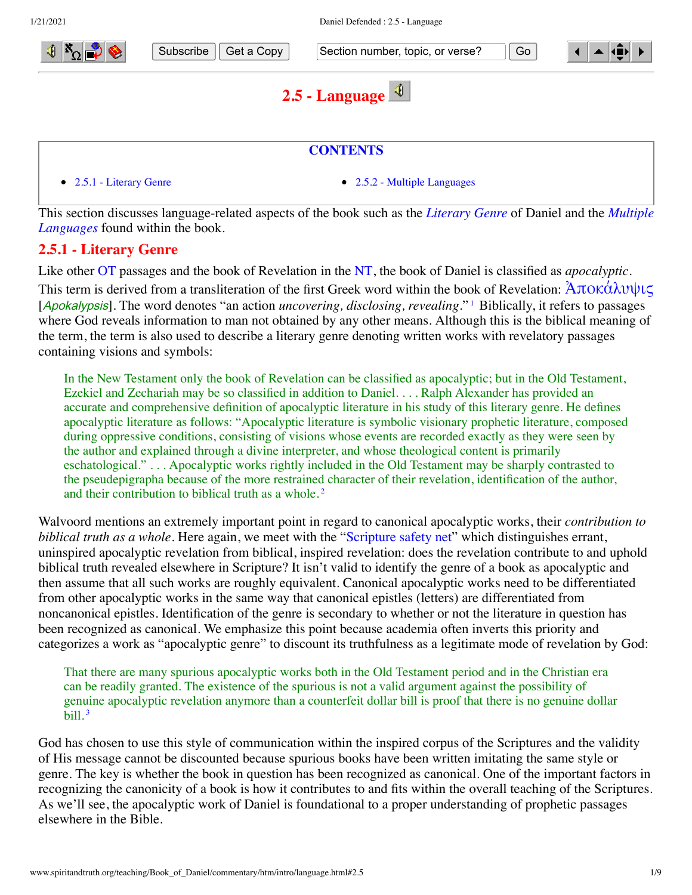

Subscribe  $\parallel$  Get a Copy  $\parallel$  Section number, topic, or verse?  $\parallel$  Go

<span id="page-0-1"></span>

# <span id="page-0-0"></span>**2.5 - Language**



[This section discusses language-related aspects of the book such as the](#page-1-0) *[Literary Genre](#page-0-0)* of Daniel and the *Multiple Languages* found within the book.

## **2.5.1 - Literary Genre**

Like other [OT](http://www.spiritandtruth.org/teaching/Book_of_Daniel/commentary/htm/glossary.html#5.2.66) passages and the book of Revelation in the [NT,](http://www.spiritandtruth.org/teaching/Book_of_Daniel/commentary/htm/glossary.html#5.2.64) the book of Daniel is classified as *apocalyptic*. This term is derived from a transliteration of the first Greek word within the book of Revelation:  $\text{Arok}\hat{\alpha}\lambda\upsilon\psi\varsigma$ [Apokalypsis]. The word denotes "an action *uncovering, disclosing, revealing*."<sup>[1](#page-6-0)</sup> Biblically, it refers to passages where God reveals information to man not obtained by any other means. Although this is the biblical meaning of the term, the term is also used to describe a literary genre denoting written works with revelatory passages containing visions and symbols:

<span id="page-0-2"></span>In the New Testament only the book of Revelation can be classified as apocalyptic; but in the Old Testament, Ezekiel and Zechariah may be so classified in addition to Daniel. . . . Ralph Alexander has provided an accurate and comprehensive definition of apocalyptic literature in his study of this literary genre. He defines apocalyptic literature as follows: "Apocalyptic literature is symbolic visionary prophetic literature, composed during oppressive conditions, consisting of visions whose events are recorded exactly as they were seen by the author and explained through a divine interpreter, and whose theological content is primarily eschatological." . . . Apocalyptic works rightly included in the Old Testament may be sharply contrasted to the pseudepigrapha because of the more restrained character of their revelation, identification of the author, and their contribution to biblical truth as a whole. [2](#page-6-1)

Walvoord mentions an extremely important point in regard to canonical apocalyptic works, their *contribution to biblical truth as a whole*. Here again, we meet with the ["Scripture safety net"](http://www.spiritandtruth.org/teaching/Book_of_Daniel/commentary/htm/glossary.html#5.2.79) which distinguishes errant, uninspired apocalyptic revelation from biblical, inspired revelation: does the revelation contribute to and uphold biblical truth revealed elsewhere in Scripture? It isn't valid to identify the genre of a book as apocalyptic and then assume that all such works are roughly equivalent. Canonical apocalyptic works need to be differentiated from other apocalyptic works in the same way that canonical epistles (letters) are differentiated from noncanonical epistles. Identification of the genre is secondary to whether or not the literature in question has been recognized as canonical. We emphasize this point because academia often inverts this priority and categorizes a work as "apocalyptic genre" to discount its truthfulness as a legitimate mode of revelation by God:

<span id="page-0-3"></span>That there are many spurious apocalyptic works both in the Old Testament period and in the Christian era can be readily granted. The existence of the spurious is not a valid argument against the possibility of genuine apocalyptic revelation anymore than a counterfeit dollar bill is proof that there is no genuine dollar bill. [3](#page-6-2)

God has chosen to use this style of communication within the inspired corpus of the Scriptures and the validity of His message cannot be discounted because spurious books have been written imitating the same style or genre. The key is whether the book in question has been recognized as canonical. One of the important factors in recognizing the canonicity of a book is how it contributes to and fits within the overall teaching of the Scriptures. As we'll see, the apocalyptic work of Daniel is foundational to a proper understanding of prophetic passages elsewhere in the Bible.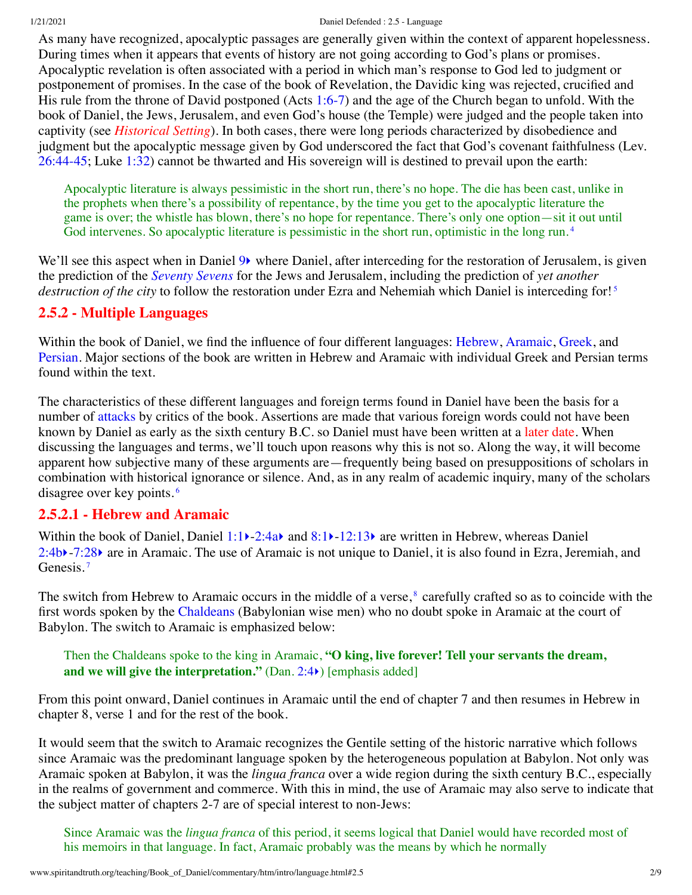#### 1/21/2021 Daniel Defended : 2.5 - Language

As many have recognized, apocalyptic passages are generally given within the context of apparent hopelessness. During times when it appears that events of history are not going according to God's plans or promises. Apocalyptic revelation is often associated with a period in which man's response to God led to judgment or postponement of promises. In the case of the book of Revelation, the Davidic king was rejected, crucified and His rule from the throne of David postponed (Acts [1:6-7](http://www.spiritandtruth.org/bibles/nasb/b44c001.htm#Acts_C1V6)) and the age of the Church began to unfold. With the book of Daniel, the Jews, Jerusalem, and even God's house (the Temple) were judged and the people taken into captivity (see *[Historical Setting](http://www.spiritandtruth.org/teaching/Book_of_Daniel/commentary/htm/intro/setting.html#2.9)*). In both cases, there were long periods characterized by disobedience and judgment but the apocalyptic message given by God underscored the fact that God's covenant faithfulness (Lev. [26:44-45;](http://www.spiritandtruth.org/bibles/nasb/b03c026.htm#Lev._C26V44) Luke [1:32\)](http://www.spiritandtruth.org/bibles/nasb/b42c001.htm#Luke_C1V32) cannot be thwarted and His sovereign will is destined to prevail upon the earth:

<span id="page-1-3"></span><span id="page-1-2"></span><span id="page-1-0"></span>Apocalyptic literature is always pessimistic in the short run, there's no hope. The die has been cast, unlike in the prophets when there's a possibility of repentance, by the time you get to the apocalyptic literature the game is over; the whistle has blown, there's no hope for repentance. There's only one option—sit it out until God intervenes. So apocalyptic literature is pessimistic in the short run, optimistic in the long run.<sup>[4](#page-6-3)</sup>

We'll see this aspect when in Daniel  $9\blacktriangleright$  where Daniel, after interceding for the restoration of Jerusalem, is given the prediction of the *[Seventy Sevens](http://www.spiritandtruth.org/teaching/Book_of_Daniel/commentary/htm/topics/seventy_sevens.html#4.6)* for the Jews and Jerusalem, including the prediction of *yet another destruction of the city* to follow the restoration under Ezra and Nehemiah which Daniel is interceding for! [5](#page-6-4)

#### **2.5.2 - Multiple Languages**

Within the book of Daniel, we find the influence of four different languages: [Hebrew,](#page-1-1) [Aramaic,](#page-1-1) [Greek](#page-3-0), and [Persian](#page-5-0). Major sections of the book are written in Hebrew and Aramaic with individual Greek and Persian terms found within the text.

The characteristics of these different languages and foreign terms found in Daniel have been the basis for a number of [attacks](http://www.spiritandtruth.org/teaching/Book_of_Daniel/commentary/htm/intro/introduction.html#2.2.4.1) by critics of the book. Assertions are made that various foreign words could not have been known by Daniel as early as the sixth century B.C. so Daniel must have been written at a [later date](http://www.spiritandtruth.org/teaching/Book_of_Daniel/commentary/htm/intro/date.html#2.4). When discussing the languages and terms, we'll touch upon reasons why this is not so. Along the way, it will become apparent how subjective many of these arguments are—frequently being based on presuppositions of scholars in combination with historical ignorance or silence. And, as in any realm of academic inquiry, many of the scholars disagree over key points. [6](#page-6-5)

#### <span id="page-1-4"></span><span id="page-1-1"></span>**2.5.2.1 - Hebrew and Aramaic**

Within the book of Daniel, Daniel [1:1](http://www.spiritandtruth.org/bibles/nasb/b27c001.htm#Dan._C1V1) > 2:4a and [8:1](http://www.spiritandtruth.org/bibles/nasb/b27c008.htm#Dan._C8V1) > [-12:13](http://www.spiritandtruth.org/bibles/nasb/b27c012.htm#Dan._C12V13) are written in Hebrew, whereas Daniel [2:4b](http://www.spiritandtruth.org/bibles/nasb/b27c002.htm#Dan._C2V4)[‣](http://www.spiritandtruth.org/teaching/Book_of_Daniel/commentary/htm/chapters/02.html#3.2.4)-[7:28](http://www.spiritandtruth.org/bibles/nasb/b27c007.htm#Dan._C7V28)[‣](http://www.spiritandtruth.org/teaching/Book_of_Daniel/commentary/htm/chapters/07.html#3.7.28) are in Aramaic. The use of Aramaic is not unique to Daniel, it is also found in Ezra, Jeremiah, and Genesis.<sup>[7](#page-6-6)</sup>

<span id="page-1-5"></span>The switch from Hebrew to Aramaic occurs in the middle of a verse,<sup>[8](#page-6-7)</sup> carefully crafted so as to coincide with the first words spoken by the [Chaldeans](http://www.spiritandtruth.org/teaching/Book_of_Daniel/commentary/htm/glossary.html#5.2.15) (Babylonian wise men) who no doubt spoke in Aramaic at the court of Babylon. The switch to Aramaic is emphasized below:

#### <span id="page-1-6"></span>Then the Chaldeans spoke to the king in Aramaic, **"O king, live forever! Tell your servants the dream, and we will give the interpretation."** (Dan. [2:4](http://www.spiritandtruth.org/bibles/nasb/b27c002.htm#Dan._C2V4)[‣](http://www.spiritandtruth.org/teaching/Book_of_Daniel/commentary/htm/chapters/02.html#3.2.4)) [emphasis added]

From this point onward, Daniel continues in Aramaic until the end of chapter 7 and then resumes in Hebrew in chapter 8, verse 1 and for the rest of the book.

It would seem that the switch to Aramaic recognizes the Gentile setting of the historic narrative which follows since Aramaic was the predominant language spoken by the heterogeneous population at Babylon. Not only was Aramaic spoken at Babylon, it was the *lingua franca* over a wide region during the sixth century B.C., especially in the realms of government and commerce. With this in mind, the use of Aramaic may also serve to indicate that the subject matter of chapters 2-7 are of special interest to non-Jews:

Since Aramaic was the *lingua franca* of this period, it seems logical that Daniel would have recorded most of his memoirs in that language. In fact, Aramaic probably was the means by which he normally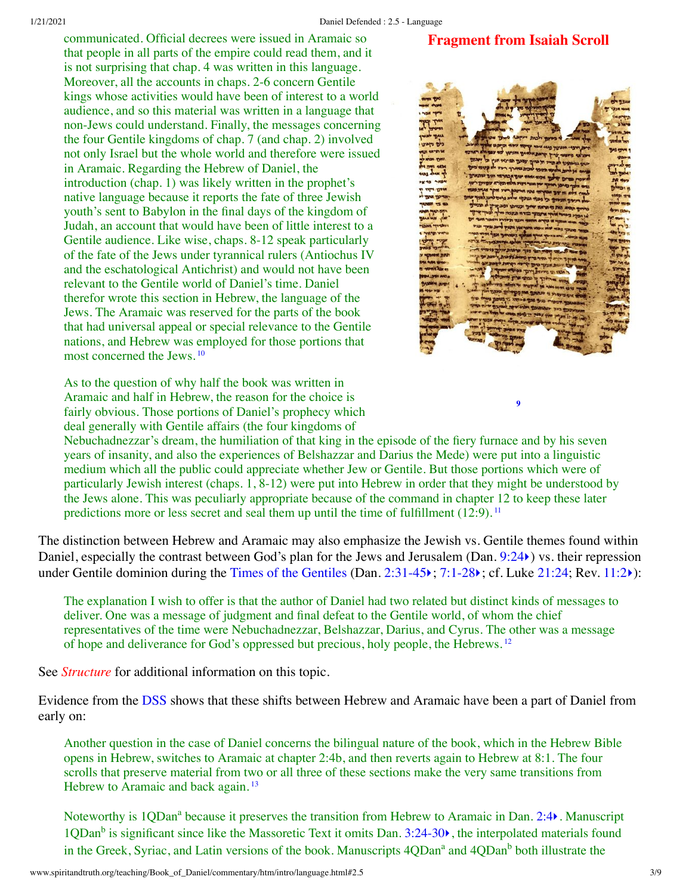**Fragment from Isaiah Scroll**

communicated. Official decrees were issued in Aramaic so that people in all parts of the empire could read them, and it is not surprising that chap. 4 was written in this language. Moreover, all the accounts in chaps. 2-6 concern Gentile kings whose activities would have been of interest to a world audience, and so this material was written in a language that non-Jews could understand. Finally, the messages concerning the four Gentile kingdoms of chap. 7 (and chap. 2) involved not only Israel but the whole world and therefore were issued in Aramaic. Regarding the Hebrew of Daniel, the introduction (chap. 1) was likely written in the prophet's native language because it reports the fate of three Jewish youth's sent to Babylon in the final days of the kingdom of Judah, an account that would have been of little interest to a Gentile audience. Like wise, chaps. 8-12 speak particularly of the fate of the Jews under tyrannical rulers (Antiochus IV and the eschatological Antichrist) and would not have been relevant to the Gentile world of Daniel's time. Daniel therefor wrote this section in Hebrew, the language of the Jews. The Aramaic was reserved for the parts of the book that had universal appeal or special relevance to the Gentile nations, and Hebrew was employed for those portions that most concerned the Jews. [10](#page-6-9)

<span id="page-2-1"></span>As to the question of why half the book was written in Aramaic and half in Hebrew, the reason for the choice is fairly obvious. Those portions of Daniel's prophecy which deal generally with Gentile affairs (the four kingdoms of



<span id="page-2-3"></span><span id="page-2-2"></span><span id="page-2-0"></span>**[9](#page-6-8)**

Nebuchadnezzar's dream, the humiliation of that king in the episode of the fiery furnace and by his seven years of insanity, and also the experiences of Belshazzar and Darius the Mede) were put into a linguistic medium which all the public could appreciate whether Jew or Gentile. But those portions which were of particularly Jewish interest (chaps. 1, 8-12) were put into Hebrew in order that they might be understood by the Jews alone. This was peculiarly appropriate because of the command in chapter 12 to keep these later predictions more or less secret and seal them up until the time of fulfillment (12:9).<sup>[11](#page-6-10)</sup>

The distinction between Hebrew and Aramaic may also emphasize the Jewish vs. Gentile themes found within Daniel, especially the contrast between God's plan for the Jews and Jerusalem (Dan. [9:24](http://www.spiritandtruth.org/bibles/nasb/b27c009.htm#Dan._C9V24) $\epsilon$ ) vs. their repression under Gentile dominion during the [Times of the Gentiles](http://www.spiritandtruth.org/teaching/Book_of_Daniel/commentary/htm/glossary.html#5.2.86) (Dan. [2:31-45](http://www.spiritandtruth.org/bibles/nasb/b27c002.htm#Dan._C2V31)); [7:1-28](http://www.spiritandtruth.org/bibles/nasb/b27c007.htm#Dan._C7V1)); cf. Luke [21:24](http://www.spiritandtruth.org/bibles/nasb/b42c021.htm#Luke_C21V24); Rev. [11:2](http://www.spiritandtruth.org/bibles/nasb/b66c011.htm#Rev._C11V2)):

The explanation I wish to offer is that the author of Daniel had two related but distinct kinds of messages to deliver. One was a message of judgment and final defeat to the Gentile world, of whom the chief representatives of the time were Nebuchadnezzar, Belshazzar, Darius, and Cyrus. The other was a message of hope and deliverance for God's oppressed but precious, holy people, the Hebrews. [12](#page-7-0)

See *[Structure](http://www.spiritandtruth.org/teaching/Book_of_Daniel/commentary/htm/intro/structure.html#2.8)* for additional information on this topic.

Evidence from the [DSS](http://www.spiritandtruth.org/teaching/Book_of_Daniel/commentary/htm/glossary.html#5.2.22) shows that these shifts between Hebrew and Aramaic have been a part of Daniel from early on:

Another question in the case of Daniel concerns the bilingual nature of the book, which in the Hebrew Bible opens in Hebrew, switches to Aramaic at chapter 2:4b, and then reverts again to Hebrew at 8:1. The four scrolls that preserve material from two or all three of these sections make the very same transitions from Hebrew to Aramaic and back again.<sup>[13](#page-7-1)</sup>

<span id="page-2-4"></span>Noteworthy is 1QDan<sup>a</sup> because it preserves the transition from Hebrew to Aramaic in Dan. [2:4](http://www.spiritandtruth.org/bibles/nasb/b27c002.htm#Dan._C2V4)). Manuscript 1QDan<sup>b</sup> is significant since like the Massoretic Text it omits Dan. [3:24-30](http://www.spiritandtruth.org/bibles/nasb/b27c003.htm#Dan._C3V24) $\blacktriangleright$ , the interpolated materials found in the Greek, Syriac, and Latin versions of the book. Manuscripts 4QDan<sup>a</sup> and 4QDan<sup>b</sup> both illustrate the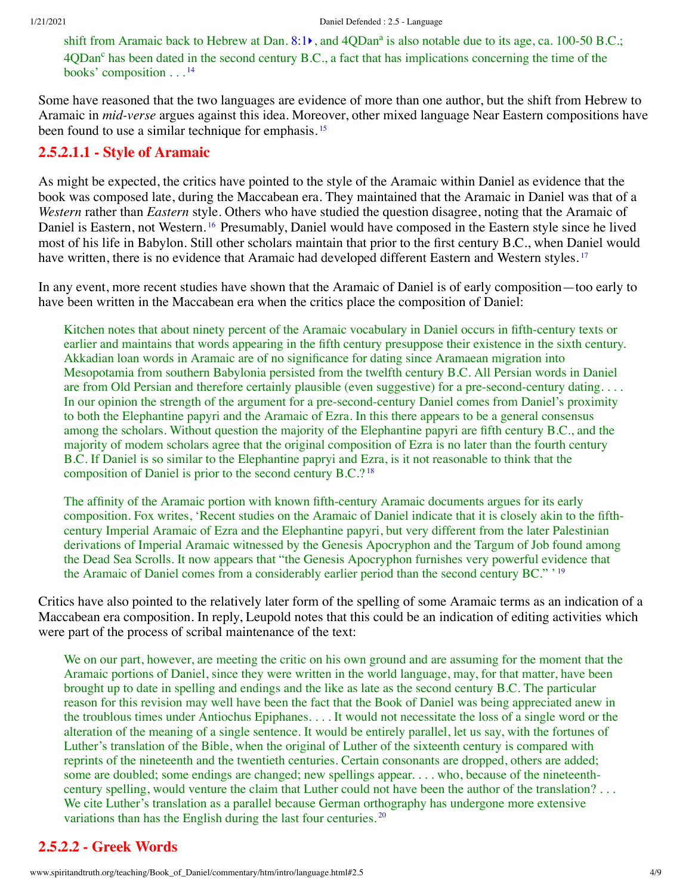<span id="page-3-2"></span><span id="page-3-1"></span>shift from Aramaic back to Hebrew at Dan. [8:1](http://www.spiritandtruth.org/bibles/nasb/b27c008.htm#Dan._C8V1) $\bullet$ , and 4QDan<sup>a</sup> is also notable due to its age, ca. 100-50 B.C.; 4QDan<sup>c</sup> has been dated in the second century B.C., a fact that has implications concerning the time of the books' composition . . . [14](#page-7-2)

Some have reasoned that the two languages are evidence of more than one author, but the shift from Hebrew to Aramaic in *mid-verse* argues against this idea. Moreover, other mixed language Near Eastern compositions have been found to use a similar technique for emphasis.<sup>[15](#page-7-3)</sup>

## **2.5.2.1.1 - Style of Aramaic**

<span id="page-3-3"></span>As might be expected, the critics have pointed to the style of the Aramaic within Daniel as evidence that the book was composed late, during the Maccabean era. They maintained that the Aramaic in Daniel was that of a *Western* rather than *Eastern* style. Others who have studied the question disagree, noting that the Aramaic of Daniel is Eastern, not Western. [16](#page-7-4) Presumably, Daniel would have composed in the Eastern style since he lived most of his life in Babylon. Still other scholars maintain that prior to the first century B.C., when Daniel would have written, there is no evidence that Aramaic had developed different Eastern and Western styles.<sup>[17](#page-7-5)</sup>

In any event, more recent studies have shown that the Aramaic of Daniel is of early composition—too early to have been written in the Maccabean era when the critics place the composition of Daniel:

<span id="page-3-4"></span>Kitchen notes that about ninety percent of the Aramaic vocabulary in Daniel occurs in fifth-century texts or earlier and maintains that words appearing in the fifth century presuppose their existence in the sixth century. Akkadian loan words in Aramaic are of no significance for dating since Aramaean migration into Mesopotamia from southern Babylonia persisted from the twelfth century B.C. All Persian words in Daniel are from Old Persian and therefore certainly plausible (even suggestive) for a pre-second-century dating. . . . In our opinion the strength of the argument for a pre-second-century Daniel comes from Daniel's proximity to both the Elephantine papyri and the Aramaic of Ezra. In this there appears to be a general consensus among the scholars. Without question the majority of the Elephantine papyri are fifth century B.C., and the majority of modem scholars agree that the original composition of Ezra is no later than the fourth century B.C. If Daniel is so similar to the Elephantine papryi and Ezra, is it not reasonable to think that the composition of Daniel is prior to the second century B.C.? [18](#page-7-6)

<span id="page-3-6"></span><span id="page-3-5"></span>The affinity of the Aramaic portion with known fifth-century Aramaic documents argues for its early composition. Fox writes, 'Recent studies on the Aramaic of Daniel indicate that it is closely akin to the fifthcentury Imperial Aramaic of Ezra and the Elephantine papyri, but very different from the later Palestinian derivations of Imperial Aramaic witnessed by the Genesis Apocryphon and the Targum of Job found among the Dead Sea Scrolls. It now appears that "the Genesis Apocryphon furnishes very powerful evidence that the Aramaic of Daniel comes from a considerably earlier period than the second century BC." ' [19](#page-7-7)

Critics have also pointed to the relatively later form of the spelling of some Aramaic terms as an indication of a Maccabean era composition. In reply, Leupold notes that this could be an indication of editing activities which were part of the process of scribal maintenance of the text:

We on our part, however, are meeting the critic on his own ground and are assuming for the moment that the Aramaic portions of Daniel, since they were written in the world language, may, for that matter, have been brought up to date in spelling and endings and the like as late as the second century B.C. The particular reason for this revision may well have been the fact that the Book of Daniel was being appreciated anew in the troublous times under Antiochus Epiphanes. . . . It would not necessitate the loss of a single word or the alteration of the meaning of a single sentence. It would be entirely parallel, let us say, with the fortunes of Luther's translation of the Bible, when the original of Luther of the sixteenth century is compared with reprints of the nineteenth and the twentieth centuries. Certain consonants are dropped, others are added; some are doubled; some endings are changed; new spellings appear. . . . who, because of the nineteenthcentury spelling, would venture the claim that Luther could not have been the author of the translation? . . . We cite Luther's translation as a parallel because German orthography has undergone more extensive variations than has the English during the last four centuries.<sup>[20](#page-7-8)</sup>

# <span id="page-3-7"></span><span id="page-3-0"></span>**2.5.2.2 - Greek Words**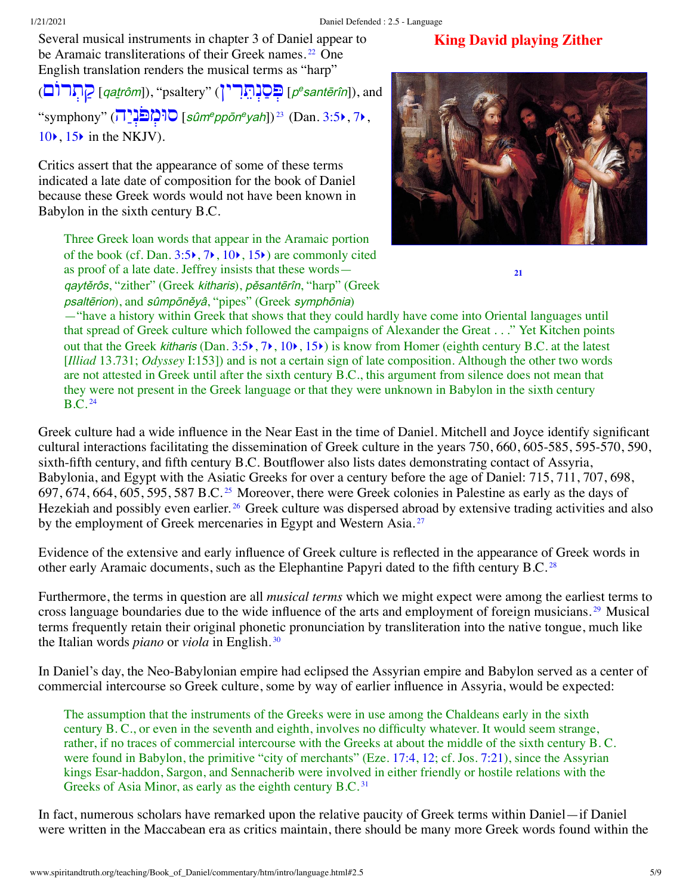Several musical instruments in chapter 3 of Daniel appear to be Aramaic transliterations of their Greek names.<sup>[22](#page-7-10)</sup> One English translation renders the musical terms as "harp"

<sup>p</sup> [ְפּ ַסְנ [ֵתִּרין](http://www.spiritandtruth.org/teaching/Book_of_Daniel/commentary/htm/intro/introduction.html#2.2.2.6)) "psaltery ",])qaṯrôm [ַק [ְתרוֹם](http://www.spiritandtruth.org/teaching/Book_of_Daniel/commentary/htm/intro/introduction.html#2.2.2.6)) <sup>e</sup>santērîn]), and  $\text{``symphony'' } (\overline{1})^{\text{in}}$   $\text{``sign}^{\text{e}}$   $\text{``sum}^{\text{e}} \text{''}$   $\text{``sum}^{\text{e}} \text{''}$  (Dan. [3:5](http://www.spiritandtruth.org/bibles/nasb/b27c003.htm#Dan._C3V5) $\text{``}$ , [7](http://www.spiritandtruth.org/bibles/nasb/b27c003.htm#Dan._C3V7) $\text{``}$ ,  $10\bullet$  $10\bullet$ ,  $15\bullet$  $15\bullet$  in the NKJV).

Critics assert that the appearance of some of these terms indicated a late date of composition for the book of Daniel because these Greek words would not have been known in Babylon in the sixth century B.C.

<span id="page-4-2"></span><span id="page-4-1"></span>**King David playing Zither**

<span id="page-4-8"></span><span id="page-4-7"></span><span id="page-4-6"></span><span id="page-4-0"></span>**[21](#page-7-9)**

Three Greek loan words that appear in the Aramaic portion of the book (cf. Dan.  $3:5\rightarrow, 7\rightarrow, 10\rightarrow, 15\rightarrow)$  $3:5\rightarrow, 7\rightarrow, 10\rightarrow, 15\rightarrow)$  $3:5\rightarrow, 7\rightarrow, 10\rightarrow, 15\rightarrow)$  $3:5\rightarrow, 7\rightarrow, 10\rightarrow, 15\rightarrow)$  $3:5\rightarrow, 7\rightarrow, 10\rightarrow, 15\rightarrow)$  $3:5\rightarrow, 7\rightarrow, 10\rightarrow, 15\rightarrow)$  $3:5\rightarrow, 7\rightarrow, 10\rightarrow, 15\rightarrow)$  $3:5\rightarrow, 7\rightarrow, 10\rightarrow, 15\rightarrow)$ ) are commonly cited as proof of a late date. Jeffrey insists that these words qaytěrôs, "zither" (Greek kitharis), pěsantērîn, "harp" (Greek psaltērion), and sûmpōněyâ, "pipes" (Greek symphōnia)

—"have a history within Greek that shows that they could hardly have come into Oriental languages until that spread of Greek culture which followed the campaigns of Alexander the Great . . ." Yet Kitchen points out that the Greek kitharis (Dan.  $3:5\rightarrow, 7\rightarrow, 10\rightarrow, 15\rightarrow$  $3:5\rightarrow, 7\rightarrow, 10\rightarrow, 15\rightarrow$  $3:5\rightarrow, 7\rightarrow, 10\rightarrow, 15\rightarrow$  $3:5\rightarrow, 7\rightarrow, 10\rightarrow, 15\rightarrow$  $3:5\rightarrow, 7\rightarrow, 10\rightarrow, 15\rightarrow$  $3:5\rightarrow, 7\rightarrow, 10\rightarrow, 15\rightarrow$  $3:5\rightarrow, 7\rightarrow, 10\rightarrow, 15\rightarrow$  $3:5\rightarrow, 7\rightarrow, 10\rightarrow, 15\rightarrow$ ) is know from Homer (eighth century B.C. at the latest [*Illiad* 13.731; *Odyssey* I:153]) and is not a certain sign of late composition. Although the other two words are not attested in Greek until after the sixth century B.C., this argument from silence does not mean that they were not present in the Greek language or that they were unknown in Babylon in the sixth century  $B.C.<sup>24</sup>$  $B.C.<sup>24</sup>$  $B.C.<sup>24</sup>$ 

<span id="page-4-4"></span><span id="page-4-3"></span>Greek culture had a wide influence in the Near East in the time of Daniel. Mitchell and Joyce identify significant cultural interactions facilitating the dissemination of Greek culture in the years 750, 660, 605-585, 595-570, 590, sixth-fifth century, and fifth century B.C. Boutflower also lists dates demonstrating contact of Assyria, Babylonia, and Egypt with the Asiatic Greeks for over a century before the age of Daniel: 715, 711, 707, 698, 697, 674, 664, 605, 595, 587 B.C. [25](#page-7-13) Moreover, there were Greek colonies in Palestine as early as the days of Hezekiah and possibly even earlier.<sup>[26](#page-7-14)</sup> Greek culture was dispersed abroad by extensive trading activities and also by the employment of Greek mercenaries in Egypt and Western Asia.<sup>[27](#page-7-15)</sup>

<span id="page-4-5"></span>Evidence of the extensive and early influence of Greek culture is reflected in the appearance of Greek words in other early Aramaic documents, such as the Elephantine Papyri dated to the fifth century B.C.<sup>[28](#page-8-0)</sup>

Furthermore, the terms in question are all *musical terms* which we might expect were among the earliest terms to cross language boundaries due to the wide influence of the arts and employment of foreign musicians. [29](#page-8-1) Musical terms frequently retain their original phonetic pronunciation by transliteration into the native tongue, much like the Italian words *piano* or *viola* in English. [30](#page-8-2)

In Daniel's day, the Neo-Babylonian empire had eclipsed the Assyrian empire and Babylon served as a center of commercial intercourse so Greek culture, some by way of earlier influence in Assyria, would be expected:

<span id="page-4-10"></span><span id="page-4-9"></span>The assumption that the instruments of the Greeks were in use among the Chaldeans early in the sixth century B. C., or even in the seventh and eighth, involves no difficulty whatever. It would seem strange, rather, if no traces of commercial intercourse with the Greeks at about the middle of the sixth century B. C. were found in Babylon, the primitive "city of merchants" (Eze. [17:4](http://www.spiritandtruth.org/bibles/nasb/b26c017.htm#Eze._C17V4), [12;](http://www.spiritandtruth.org/bibles/nasb/b26c017.htm#Eze._C17V12) cf. Jos. [7:21\)](http://www.spiritandtruth.org/bibles/nasb/b06c007.htm#Jos._C7V21), since the Assyrian kings Esar-haddon, Sargon, and Sennacherib were involved in either friendly or hostile relations with the Greeks of Asia Minor, as early as the eighth century B.C.<sup>[31](#page-8-3)</sup>

In fact, numerous scholars have remarked upon the relative paucity of Greek terms within Daniel—if Daniel were written in the Maccabean era as critics maintain, there should be many more Greek words found within the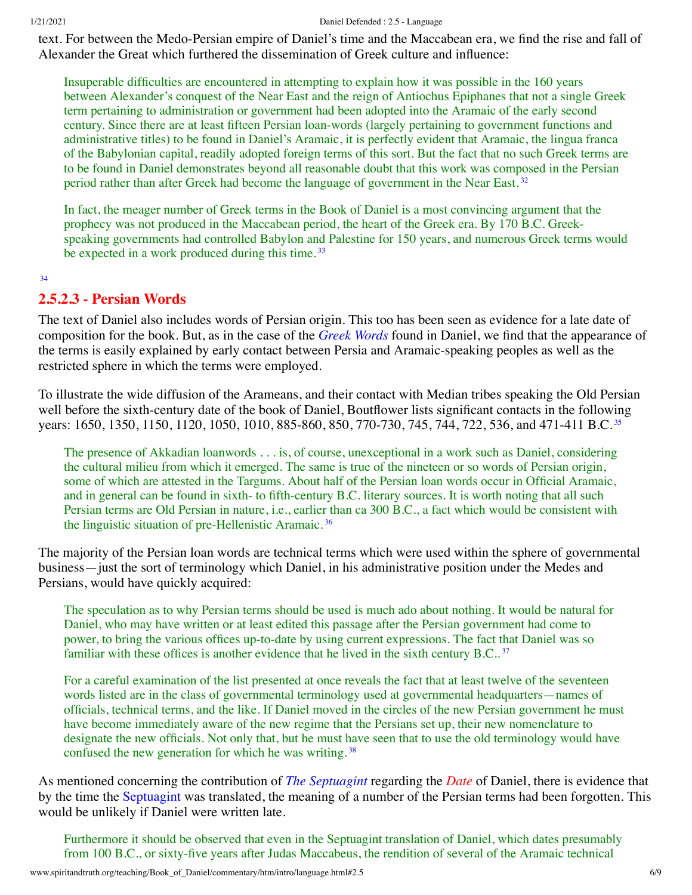text. For between the Medo-Persian empire of Daniel's time and the Maccabean era, we find the rise and fall of Alexander the Great which furthered the dissemination of Greek culture and influence:

Insuperable difficulties are encountered in attempting to explain how it was possible in the 160 years between Alexander's conquest of the Near East and the reign of Antiochus Epiphanes that not a single Greek term pertaining to administration or government had been adopted into the Aramaic of the early second century. Since there are at least fifteen Persian loan-words (largely pertaining to government functions and administrative titles) to be found in Daniel's Aramaic, it is perfectly evident that Aramaic, the lingua franca of the Babylonian capital, readily adopted foreign terms of this sort. But the fact that no such Greek terms are to be found in Daniel demonstrates beyond all reasonable doubt that this work was composed in the Persian period rather than after Greek had become the language of government in the Near East.<sup>[32](#page-8-4)</sup>

<span id="page-5-2"></span><span id="page-5-1"></span>In fact, the meager number of Greek terms in the Book of Daniel is a most convincing argument that the prophecy was not produced in the Maccabean period, the heart of the Greek era. By 170 B.C. Greekspeaking governments had controlled Babylon and Palestine for 150 years, and numerous Greek terms would be expected in a work produced during this time.<sup>[33](#page-8-5)</sup>

<span id="page-5-3"></span><span id="page-5-0"></span>[34](#page-8-6)

## **2.5.2.3 - Persian Words**

The text of Daniel also includes words of Persian origin. This too has been seen as evidence for a late date of composition for the book. But, as in the case of the *[Greek Words](#page-3-0)* found in Daniel, we find that the appearance of the terms is easily explained by early contact between Persia and Aramaic-speaking peoples as well as the restricted sphere in which the terms were employed.

To illustrate the wide diffusion of the Arameans, and their contact with Median tribes speaking the Old Persian well before the sixth-century date of the book of Daniel, Boutflower lists significant contacts in the following years: 1650, 1[35](#page-8-7)0, 1150, 1120, 1050, 1010, 885-860, 850, 770-730, 745, 744, 722, 536, and 471-411 B.C.<sup>35</sup>

<span id="page-5-5"></span><span id="page-5-4"></span>The presence of Akkadian loanwords . . . is, of course, unexceptional in a work such as Daniel, considering the cultural milieu from which it emerged. The same is true of the nineteen or so words of Persian origin, some of which are attested in the Targums. About half of the Persian loan words occur in Official Aramaic, and in general can be found in sixth- to fifth-century B.C. literary sources. It is worth noting that all such Persian terms are Old Persian in nature, i.e., earlier than ca 300 B.C., a fact which would be consistent with the linguistic situation of pre-Hellenistic Aramaic. [36](#page-8-8)

The majority of the Persian loan words are technical terms which were used within the sphere of governmental business—just the sort of terminology which Daniel, in his administrative position under the Medes and Persians, would have quickly acquired:

The speculation as to why Persian terms should be used is much ado about nothing. It would be natural for Daniel, who may have written or at least edited this passage after the Persian government had come to power, to bring the various offices up-to-date by using current expressions. The fact that Daniel was so familiar with these offices is another evidence that he lived in the sixth century B.C..<sup>[37](#page-8-9)</sup>

<span id="page-5-7"></span><span id="page-5-6"></span>For a careful examination of the list presented at once reveals the fact that at least twelve of the seventeen words listed are in the class of governmental terminology used at governmental headquarters—names of officials, technical terms, and the like. If Daniel moved in the circles of the new Persian government he must have become immediately aware of the new regime that the Persians set up, their new nomenclature to designate the new officials. Not only that, but he must have seen that to use the old terminology would have confused the new generation for which he was writing. [38](#page-8-10)

As mentioned concerning the contribution of *[The Septuagint](http://www.spiritandtruth.org/teaching/Book_of_Daniel/commentary/htm/intro/date.html#2.4.2.4)* regarding the *[Date](http://www.spiritandtruth.org/teaching/Book_of_Daniel/commentary/htm/intro/date.html#2.4)* of Daniel, there is evidence that by the time the [Septuagint](http://www.spiritandtruth.org/teaching/Book_of_Daniel/commentary/htm/glossary.html#5.2.80) was translated, the meaning of a number of the Persian terms had been forgotten. This would be unlikely if Daniel were written late.

Furthermore it should be observed that even in the Septuagint translation of Daniel, which dates presumably from 100 B.C., or sixty-five years after Judas Maccabeus, the rendition of several of the Aramaic technical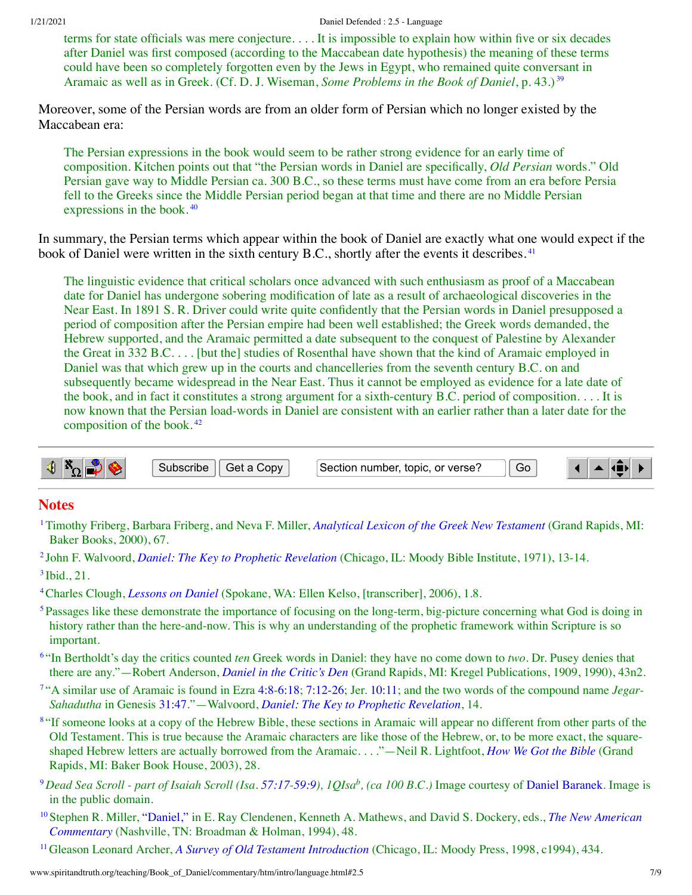1/21/2021 Daniel Defended : 2.5 - Language

<span id="page-6-11"></span>terms for state officials was mere conjecture. . . . It is impossible to explain how within five or six decades after Daniel was first composed (according to the Maccabean date hypothesis) the meaning of these terms could have been so completely forgotten even by the Jews in Egypt, who remained quite conversant in Aramaic as well as in Greek. (Cf. D. J. Wiseman, *Some Problems in the Book of Daniel*, p. 43.) [39](#page-8-11)

Moreover, some of the Persian words are from an older form of Persian which no longer existed by the Maccabean era:

<span id="page-6-12"></span>The Persian expressions in the book would seem to be rather strong evidence for an early time of composition. Kitchen points out that "the Persian words in Daniel are specifically, *Old Persian* words." Old Persian gave way to Middle Persian ca. 300 B.C., so these terms must have come from an era before Persia fell to the Greeks since the Middle Persian period began at that time and there are no Middle Persian expressions in the book. [40](#page-8-12)

In summary, the Persian terms which appear within the book of Daniel are exactly what one would expect if the book of Daniel were written in the sixth century B.C., shortly after the events it describes.<sup>[41](#page-8-13)</sup>

<span id="page-6-13"></span>The linguistic evidence that critical scholars once advanced with such enthusiasm as proof of a Maccabean date for Daniel has undergone sobering modification of late as a result of archaeological discoveries in the Near East. In 1891 S. R. Driver could write quite confidently that the Persian words in Daniel presupposed a period of composition after the Persian empire had been well established; the Greek words demanded, the Hebrew supported, and the Aramaic permitted a date subsequent to the conquest of Palestine by Alexander the Great in 332 B.C. . . . [but the] studies of Rosenthal have shown that the kind of Aramaic employed in Daniel was that which grew up in the courts and chancelleries from the seventh century B.C. on and subsequently became widespread in the Near East. Thus it cannot be employed as evidence for a late date of the book, and in fact it constitutes a strong argument for a sixth-century B.C. period of composition. . . . It is now known that the Persian load-words in Daniel are consistent with an earlier rather than a later date for the composition of the book. [42](#page-8-14)

<span id="page-6-14"></span>

#### **Notes**

- <span id="page-6-0"></span>[1](#page-0-1)Timothy Friberg, Barbara Friberg, and Neva F. Miller, *[Analytical](http://www.spiritandtruth.org/teaching/Book_of_Daniel/commentary/htm/bibliography.html#69263) Lexicon of the Greek New Testament* (Grand Rapids, MI: Baker Books, 2000), 67.
- <span id="page-6-2"></span><span id="page-6-1"></span>[2](#page-0-2) John F. Walvoord, *Daniel: The Key to Prophetic [Revelation](http://www.spiritandtruth.org/teaching/Book_of_Daniel/commentary/htm/bibliography.html#69564)* (Chicago, IL: Moody Bible Institute, 1971), 13-14.  $3$  Ibid., 21.
- <span id="page-6-3"></span>[4](#page-1-2)Charles Clough, *[Lessons](http://www.spiritandtruth.org/teaching/Book_of_Daniel/commentary/htm/bibliography.html#69201) on Daniel* (Spokane, WA: Ellen Kelso, [transcriber], 2006), 1.8.
- <span id="page-6-4"></span><sup>[5](#page-1-3)</sup>Passages like these demonstrate the importance of focusing on the long-term, big-picture concerning what God is doing in history rather than the here-and-now. This is why an understanding of the prophetic framework within Scripture is so important.
- <span id="page-6-5"></span>[6](#page-1-4) "In Bertholdt's day the critics counted *ten* Greek words in Daniel: they have no come down to *two*. Dr. Pusey denies that there are any."—Robert Anderson, *Daniel in the [Critic's](http://www.spiritandtruth.org/teaching/Book_of_Daniel/commentary/htm/bibliography.html#69102) Den* (Grand Rapids, MI: Kregel Publications, 1909, 1990), 43n2.
- <span id="page-6-6"></span>[7](#page-1-5) "A similar use of Aramaic is found in Ezra [4:8-](http://www.spiritandtruth.org/bibles/nasb/b15c004.htm#Ezra_C4V8)[6:18](http://www.spiritandtruth.org/bibles/nasb/b15c006.htm#Ezra_C6V18); [7:12-26](http://www.spiritandtruth.org/bibles/nasb/b15c007.htm#Ezra_C7V12); Jer. [10:11;](http://www.spiritandtruth.org/bibles/nasb/b24c010.htm#Jer._C10V11) and the two words of the compound name *Jegar-Sahadutha* in Genesis [31:47](http://www.spiritandtruth.org/bibles/nasb/b01c031.htm#Gen._C31V47)."—Walvoord, *Daniel: The Key to Prophetic [Revelation](http://www.spiritandtruth.org/teaching/Book_of_Daniel/commentary/htm/bibliography.html#69564)*, 14.
- <span id="page-6-7"></span><sup>[8](#page-1-6)</sup> "If someone looks at a copy of the Hebrew Bible, these sections in Aramaic will appear no different from other parts of the Old Testament. This is true because the Aramaic characters are like those of the Hebrew, or, to be more exact, the squareshaped Hebrew letters are actually borrowed from the Aramaic. . . ."—Neil R. Lightfoot, *How We Got the [Bible](http://www.spiritandtruth.org/teaching/Book_of_Daniel/commentary/htm/bibliography.html#69383)* (Grand Rapids, MI: Baker Book House, 2003), 28.
- <span id="page-6-8"></span> $^9$  $^9$ Dead Sea Scroll - part of Isaiah Scroll (Isa. [57:17](http://www.spiritandtruth.org/bibles/nasb/b23c057.htm#Isa._C57V17)-[59:9](http://www.spiritandtruth.org/bibles/nasb/b23c059.htm#Isa._C59V9)), 1QIsa $^b$ , (ca 100 B.C.) Image courtesy of Daniel [Baranek](http://commons.wikimedia.org/wiki/File:1QIsa_b.jpg). Image is in the public domain.
- <span id="page-6-9"></span>[10](#page-2-1)Stephen R. Miller, ["Daniel,"](http://www.spiritandtruth.org/teaching/Book_of_Daniel/commentary/htm/bibliography.html#69408) in E. Ray Clendenen, Kenneth A. Mathews, and David S. Dockery, eds., *The New American [Commentary](http://www.spiritandtruth.org/teaching/Book_of_Daniel/commentary/htm/bibliography.html#69419)* (Nashville, TN: Broadman & Holman, 1994), 48.
- <span id="page-6-10"></span>[11](#page-2-2)Gleason Leonard Archer, *A Survey of Old Testament [Introduction](http://www.spiritandtruth.org/teaching/Book_of_Daniel/commentary/htm/bibliography.html#69109)* (Chicago, IL: Moody Press, 1998, c1994), 434.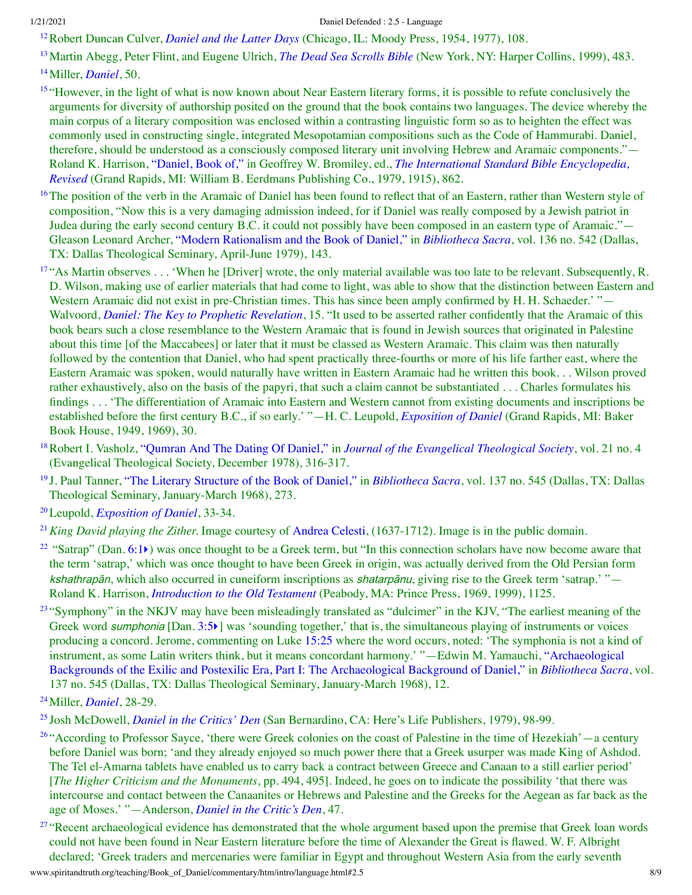<span id="page-7-0"></span>[12](#page-2-3)Robert Duncan Culver, *[Daniel](http://www.spiritandtruth.org/teaching/Book_of_Daniel/commentary/htm/bibliography.html#69210) and the Latter Days* (Chicago, IL: Moody Press, 1954, 1977), 108.

<span id="page-7-1"></span>[13](#page-2-4)Martin Abegg, Peter Flint, and Eugene Ulrich, *The Dead Sea [Scrolls](http://www.spiritandtruth.org/teaching/Book_of_Daniel/commentary/htm/bibliography.html#69221) Bible* (New York, NY: Harper Collins, 1999), 483. [14](#page-3-1)Miller, *[Daniel](http://www.spiritandtruth.org/teaching/Book_of_Daniel/commentary/htm/bibliography.html#69408)*, 50.

<span id="page-7-3"></span><span id="page-7-2"></span><sup>[15](#page-3-2)</sup> "However, in the light of what is now known about Near Eastern literary forms, it is possible to refute conclusively the arguments for diversity of authorship posited on the ground that the book contains two languages. The device whereby the main corpus of a literary composition was enclosed within a contrasting linguistic form so as to heighten the effect was commonly used in constructing single, integrated Mesopotamian compositions such as the Code of Hammurabi. Daniel, therefore, should be understood as a consciously composed literary unit involving Hebrew and Aramaic components."— Roland K. Harrison, ["Daniel,](http://www.spiritandtruth.org/teaching/Book_of_Daniel/commentary/htm/bibliography.html#69293) Book of," in Geoffrey W. Bromiley, ed., *The International Standard Bible [Encyclopedia,](http://www.spiritandtruth.org/teaching/Book_of_Daniel/commentary/htm/bibliography.html#69323) Revised* (Grand Rapids, MI: William B. Eerdmans Publishing Co., 1979, 1915), 862.

<span id="page-7-4"></span><sup>[16](#page-3-3)</sup>The position of the verb in the Aramaic of Daniel has been found to reflect that of an Eastern, rather than Western style of composition, "Now this is a very damaging admission indeed, for if Daniel was really composed by a Jewish patriot in Judea during the early second century B.C. it could not possibly have been composed in an eastern type of Aramaic."— Gleason Leonard Archer, "Modern [Rationalism](http://www.spiritandtruth.org/teaching/Book_of_Daniel/commentary/htm/bibliography.html#69108) and the Book of Daniel," in *[Bibliotheca](http://www.spiritandtruth.org/teaching/Book_of_Daniel/commentary/htm/bibliography.html#69144) Sacra*, vol. 136 no. 542 (Dallas, TX: Dallas Theological Seminary, April-June 1979), 143.

<span id="page-7-5"></span><sup>[17](#page-3-4)</sup> "As Martin observes . . . 'When he [Driver] wrote, the only material available was too late to be relevant. Subsequently, R. D. Wilson, making use of earlier materials that had come to light, was able to show that the distinction between Eastern and Western Aramaic did not exist in pre-Christian times. This has since been amply confirmed by H. H. Schaeder.' "— Walvoord, *Daniel: The Key to Prophetic [Revelation](http://www.spiritandtruth.org/teaching/Book_of_Daniel/commentary/htm/bibliography.html#69564)*, 15. "It used to be asserted rather confidently that the Aramaic of this book bears such a close resemblance to the Western Aramaic that is found in Jewish sources that originated in Palestine about this time [of the Maccabees] or later that it must be classed as Western Aramaic. This claim was then naturally followed by the contention that Daniel, who had spent practically three-fourths or more of his life farther east, where the Eastern Aramaic was spoken, would naturally have written in Eastern Aramaic had he written this book. . . Wilson proved rather exhaustively, also on the basis of the papyri, that such a claim cannot be substantiated . . . Charles formulates his findings . . . 'The differentiation of Aramaic into Eastern and Western cannot from existing documents and inscriptions be established before the first century B.C., if so early.' "—H. C. Leupold, *[Exposition](http://www.spiritandtruth.org/teaching/Book_of_Daniel/commentary/htm/bibliography.html#69381) of Daniel* (Grand Rapids, MI: Baker Book House, 1949, 1969), 30.

<span id="page-7-6"></span>[18](#page-3-5)Robert I. Vasholz, ["Qumran](http://www.spiritandtruth.org/teaching/Book_of_Daniel/commentary/htm/bibliography.html#69550) And The Dating Of Daniel," in *Journal of the Evangelical [Theological](http://www.spiritandtruth.org/teaching/Book_of_Daniel/commentary/htm/bibliography.html#69331) Society*, vol. 21 no. 4 (Evangelical Theological Society, December 1978), 316-317.

<span id="page-7-7"></span>[19](#page-3-6) J. Paul Tanner, "The Literary [Structure](http://www.spiritandtruth.org/teaching/Book_of_Daniel/commentary/htm/bibliography.html#69535) of the Book of Daniel," in *[Bibliotheca](http://www.spiritandtruth.org/teaching/Book_of_Daniel/commentary/htm/bibliography.html#69145) Sacra*, vol. 137 no. 545 (Dallas, TX: Dallas Theological Seminary, January-March 1968), 273.

<span id="page-7-8"></span>[20](#page-3-7)Leupold, *[Exposition](http://www.spiritandtruth.org/teaching/Book_of_Daniel/commentary/htm/bibliography.html#69381) of Daniel*, 33-34.

<span id="page-7-9"></span>[21](#page-4-0)*King David playing the Zither.* Image courtesy of [Andrea](http://commons.wikimedia.org/wiki/File:Andrea_Celesti_-_King_David_Playing_the_Zither_-_WGA04619.jpg) Celesti, (1637-1712). Image is in the public domain.

<span id="page-7-10"></span><sup>[22](#page-4-1)</sup> "Satrap" (Dan. [6:1](http://www.spiritandtruth.org/bibles/nasb/b27c006.htm#Dan._C6V1) $\blacktriangleright$ ) was once thought to be a Greek term, but "In this connection scholars have now become aware that the term 'satrap,' which was once thought to have been Greek in origin, was actually derived from the Old Persian form kshathrapān, which also occurred in cuneiform inscriptions as shatarpānu, giving rise to the Greek term 'satrap.' "— Roland K. Harrison, *[Introduction](http://www.spiritandtruth.org/teaching/Book_of_Daniel/commentary/htm/bibliography.html#69294) to the Old Testament* (Peabody, MA: Prince Press, 1969, 1999), 1125.

<span id="page-7-11"></span> $23$  "Symphony" in the NKJV may have been misleadingly translated as "dulcimer" in the KJV, "The earliest meaning of the Greek word *sumphonia* [Dan. [3:5](http://www.spiritandtruth.org/bibles/nasb/b27c003.htm#Dan._C3V5))] was 'sounding together,' that is, the simultaneous playing of instruments or voices producing a concord. Jerome, commenting on Luke [15:25](http://www.spiritandtruth.org/bibles/nasb/b42c015.htm#Luke_C15V25) where the word occurs, noted: 'The symphonia is not a kind of instrument, as some Latin writers think, but it means concordant harmony.' "—Edwin M. Yamauchi, ["Archaeological](http://www.spiritandtruth.org/teaching/Book_of_Daniel/commentary/htm/bibliography.html#69596) Backgrounds of the Exilic and Postexilic Era, Part I: The Archaeological Background of Daniel," in *[Bibliotheca](http://www.spiritandtruth.org/teaching/Book_of_Daniel/commentary/htm/bibliography.html#69145) Sacra*, vol. 137 no. 545 (Dallas, TX: Dallas Theological Seminary, January-March 1968), 12.

<span id="page-7-13"></span>[25](#page-4-4) Josh McDowell, *Daniel in the [Critics'](http://www.spiritandtruth.org/teaching/Book_of_Daniel/commentary/htm/bibliography.html#69404) Den* (San Bernardino, CA: Here's Life Publishers, 1979), 98-99.

<span id="page-7-14"></span><sup>[26](#page-4-5)</sup> "According to Professor Sayce, 'there were Greek colonies on the coast of Palestine in the time of Hezekiah'—a century before Daniel was born; 'and they already enjoyed so much power there that a Greek usurper was made King of Ashdod. The Tel el-Amarna tablets have enabled us to carry back a contract between Greece and Canaan to a still earlier period' [*The Higher Criticism and the Monuments*, pp. 494, 495]. Indeed, he goes on to indicate the possibility 'that there was intercourse and contact between the Canaanites or Hebrews and Palestine and the Greeks for the Aegean as far back as the age of Moses.' "—Anderson, *Daniel in the [Critic's](http://www.spiritandtruth.org/teaching/Book_of_Daniel/commentary/htm/bibliography.html#69102) Den*, 47.

<span id="page-7-15"></span><sup>[27](#page-4-6)</sup> "Recent archaeological evidence has demonstrated that the whole argument based upon the premise that Greek loan words could not have been found in Near Eastern literature before the time of Alexander the Great is flawed. W. F. Albright declared; 'Greek traders and mercenaries were familiar in Egypt and throughout Western Asia from the early seventh

<span id="page-7-12"></span>[<sup>24</sup>](#page-4-3)Miller, *[Daniel](http://www.spiritandtruth.org/teaching/Book_of_Daniel/commentary/htm/bibliography.html#69408)*, 28-29.